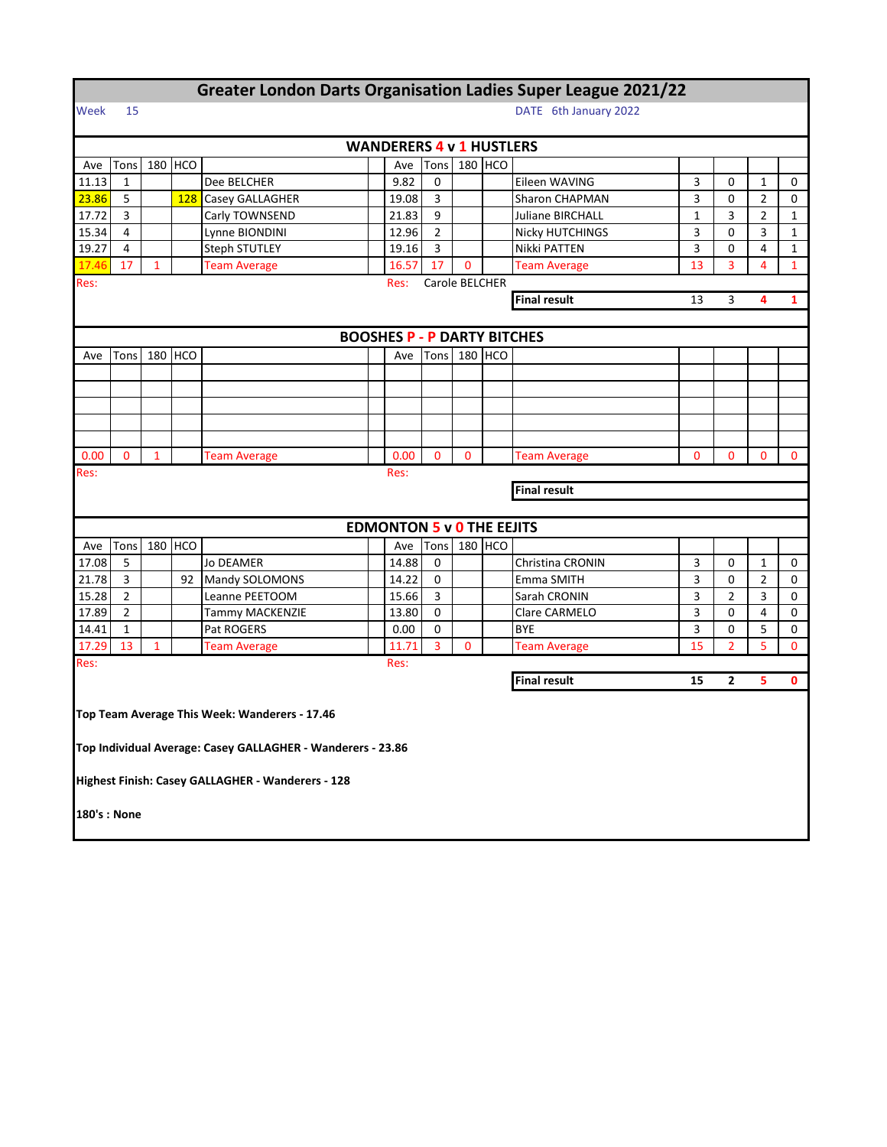| Greater London Darts Organisation Ladies Super League 2021/22 |                |              |            |                                                             |                                    |       |                |                |         |                                          |          |                |                |              |  |  |  |
|---------------------------------------------------------------|----------------|--------------|------------|-------------------------------------------------------------|------------------------------------|-------|----------------|----------------|---------|------------------------------------------|----------|----------------|----------------|--------------|--|--|--|
| Week                                                          | 15             |              |            |                                                             |                                    |       |                |                |         | DATE 6th January 2022                    |          |                |                |              |  |  |  |
|                                                               |                |              |            |                                                             |                                    |       |                |                |         |                                          |          |                |                |              |  |  |  |
|                                                               |                |              |            |                                                             | <b>WANDERERS 4 v 1 HUSTLERS</b>    |       |                |                |         |                                          |          |                |                |              |  |  |  |
| Ave                                                           | Tons           |              | 180 HCO    |                                                             |                                    | Ave   | Tons           |                | 180 HCO |                                          |          |                |                |              |  |  |  |
| 11.13                                                         | $\mathbf{1}$   |              |            | Dee BELCHER                                                 |                                    | 9.82  | 0              |                |         | Eileen WAVING                            | 3        | 0              | $\mathbf{1}$   | 0            |  |  |  |
| 23.86                                                         | 5              |              | <b>128</b> | Casey GALLAGHER                                             |                                    | 19.08 | 3              |                |         | Sharon CHAPMAN                           | 3        | 0              | $\overline{2}$ | $\mathbf 0$  |  |  |  |
| 17.72                                                         | 3              |              |            | Carly TOWNSEND                                              |                                    | 21.83 | 9              |                |         | Juliane BIRCHALL                         | 1        | 3              | 2              | 1            |  |  |  |
| 15.34                                                         | $\overline{4}$ |              |            | Lynne BIONDINI                                              |                                    | 12.96 | $\overline{2}$ |                |         | <b>Nicky HUTCHINGS</b>                   | 3        | 0              | 3              | $\mathbf{1}$ |  |  |  |
| 19.27                                                         | $\overline{4}$ |              |            | <b>Steph STUTLEY</b>                                        |                                    | 19.16 | 3              |                |         | Nikki PATTEN                             | 3        | 0              | 4              | $\mathbf{1}$ |  |  |  |
| 17.46                                                         | 17             | 1            |            | <b>Team Average</b>                                         |                                    | 16.57 | 17             | 0              |         | <b>Team Average</b>                      | 13       | 3              | 4              | 1            |  |  |  |
| Res:                                                          |                |              |            |                                                             |                                    | Res:  |                | Carole BELCHER |         |                                          |          |                |                |              |  |  |  |
|                                                               |                |              |            |                                                             |                                    |       |                |                |         | <b>Final result</b><br>13<br>3<br>4<br>1 |          |                |                |              |  |  |  |
|                                                               |                |              |            |                                                             |                                    |       |                |                |         |                                          |          |                |                |              |  |  |  |
|                                                               |                |              |            |                                                             | <b>BOOSHES P - P DARTY BITCHES</b> |       |                |                |         |                                          |          |                |                |              |  |  |  |
| Ave                                                           | Tons           |              | 180 HCO    |                                                             |                                    | Ave   | Tons           |                | 180 HCO |                                          |          |                |                |              |  |  |  |
|                                                               |                |              |            |                                                             |                                    |       |                |                |         |                                          |          |                |                |              |  |  |  |
|                                                               |                |              |            |                                                             |                                    |       |                |                |         |                                          |          |                |                |              |  |  |  |
|                                                               |                |              |            |                                                             |                                    |       |                |                |         |                                          |          |                |                |              |  |  |  |
|                                                               |                |              |            |                                                             |                                    |       |                |                |         |                                          |          |                |                |              |  |  |  |
|                                                               |                |              |            |                                                             |                                    |       |                |                |         |                                          |          |                |                |              |  |  |  |
| 0.00                                                          | $\mathbf{0}$   | 1            |            | <b>Team Average</b>                                         |                                    | 0.00  | $\mathbf 0$    | $\mathbf 0$    |         | <b>Team Average</b>                      | $\Omega$ | 0              | $\mathbf 0$    | $\mathbf{0}$ |  |  |  |
| Res:                                                          |                |              |            |                                                             |                                    | Res:  |                |                |         |                                          |          |                |                |              |  |  |  |
| <b>Final result</b>                                           |                |              |            |                                                             |                                    |       |                |                |         |                                          |          |                |                |              |  |  |  |
|                                                               |                |              |            |                                                             |                                    |       |                |                |         |                                          |          |                |                |              |  |  |  |
|                                                               |                |              |            |                                                             | <b>EDMONTON 5 v 0 THE EEJITS</b>   |       |                |                |         |                                          |          |                |                |              |  |  |  |
| Ave                                                           | Tons           | 180          | <b>HCO</b> |                                                             |                                    | Ave   | Tons           |                | 180 HCO |                                          |          |                |                |              |  |  |  |
| 17.08                                                         | 5              |              |            | Jo DEAMER                                                   |                                    | 14.88 | 0              |                |         | Christina CRONIN                         | 3        | 0              | 1              | 0            |  |  |  |
| 21.78                                                         | 3              |              | 92         | Mandy SOLOMONS                                              |                                    | 14.22 | 0              |                |         | Emma SMITH                               | 3        | 0              | $\overline{2}$ | 0            |  |  |  |
| 15.28                                                         | $\overline{2}$ |              |            | Leanne PEETOOM                                              |                                    | 15.66 | 3              |                |         | Sarah CRONIN                             | 3        | $\overline{2}$ | 3              | 0            |  |  |  |
| 17.89                                                         | $\overline{2}$ |              |            | Tammy MACKENZIE                                             |                                    | 13.80 | $\Omega$       |                |         | Clare CARMELO                            | 3        | $\Omega$       | 4              | 0            |  |  |  |
| 14.41                                                         | $\mathbf{1}$   |              |            | Pat ROGERS                                                  |                                    | 0.00  | 0              |                |         | <b>BYE</b>                               | 3        | 0              | 5              | 0            |  |  |  |
| 17.29                                                         | 13             | $\mathbf{1}$ |            | <b>Team Average</b>                                         |                                    | 11.71 | 3              | $\mathbf{0}$   |         | <b>Team Average</b>                      | 15       | $\overline{2}$ | 5              | $\mathbf 0$  |  |  |  |
| Res:                                                          |                |              |            |                                                             |                                    | Res:  |                |                |         |                                          |          |                |                |              |  |  |  |
|                                                               |                |              |            |                                                             |                                    |       |                |                |         | <b>Final result</b>                      | 15       | $\mathbf{2}$   | 5              | $\mathbf 0$  |  |  |  |
|                                                               |                |              |            |                                                             |                                    |       |                |                |         |                                          |          |                |                |              |  |  |  |
|                                                               |                |              |            | Top Team Average This Week: Wanderers - 17.46               |                                    |       |                |                |         |                                          |          |                |                |              |  |  |  |
|                                                               |                |              |            |                                                             |                                    |       |                |                |         |                                          |          |                |                |              |  |  |  |
|                                                               |                |              |            | Top Individual Average: Casey GALLAGHER - Wanderers - 23.86 |                                    |       |                |                |         |                                          |          |                |                |              |  |  |  |
|                                                               |                |              |            |                                                             |                                    |       |                |                |         |                                          |          |                |                |              |  |  |  |
|                                                               |                |              |            | Highest Finish: Casey GALLAGHER - Wanderers - 128           |                                    |       |                |                |         |                                          |          |                |                |              |  |  |  |
|                                                               |                |              |            |                                                             |                                    |       |                |                |         |                                          |          |                |                |              |  |  |  |
|                                                               | 180's : None   |              |            |                                                             |                                    |       |                |                |         |                                          |          |                |                |              |  |  |  |
|                                                               |                |              |            |                                                             |                                    |       |                |                |         |                                          |          |                |                |              |  |  |  |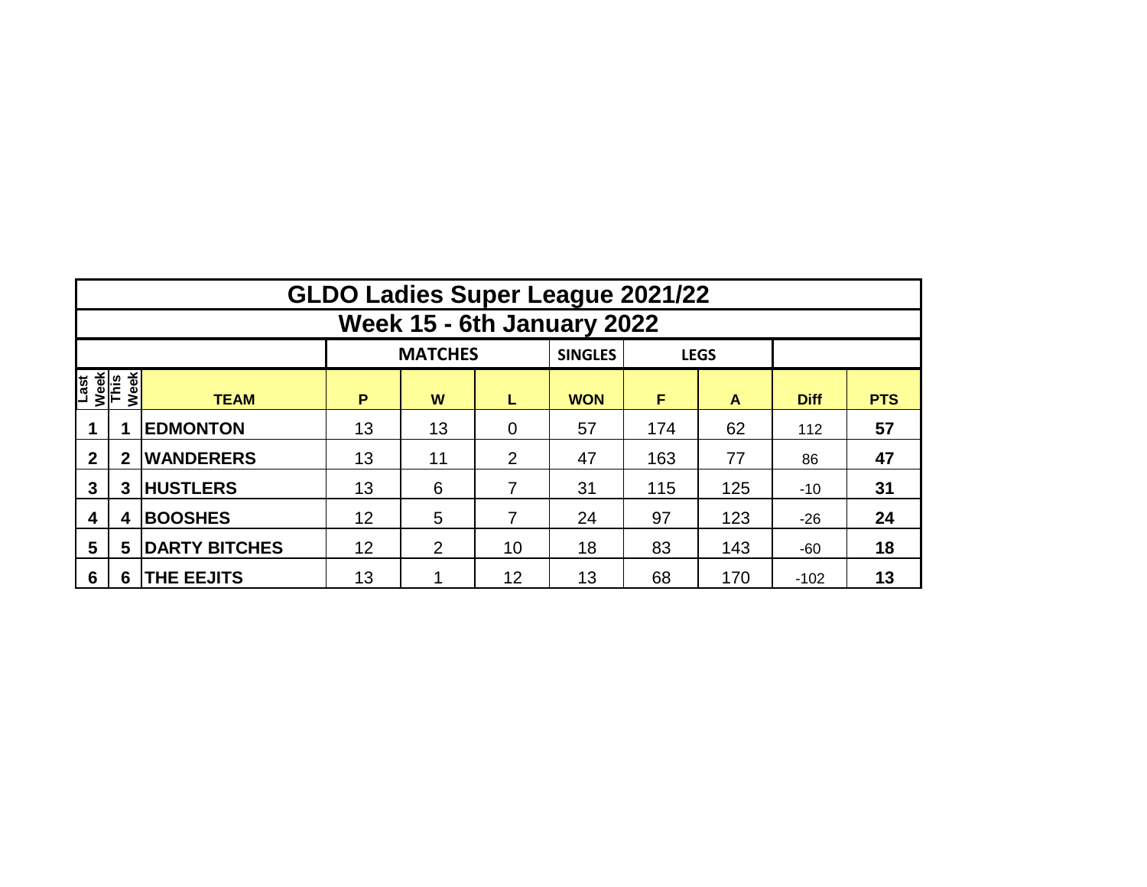|                              | <b>GLDO Ladies Super League 2021/22</b> |                      |    |                |                |                |     |             |             |            |  |  |  |  |  |
|------------------------------|-----------------------------------------|----------------------|----|----------------|----------------|----------------|-----|-------------|-------------|------------|--|--|--|--|--|
|                              | Week 15 - 6th January 2022              |                      |    |                |                |                |     |             |             |            |  |  |  |  |  |
|                              |                                         |                      |    | <b>MATCHES</b> |                | <b>SINGLES</b> |     | <b>LEGS</b> |             |            |  |  |  |  |  |
| Last<br>Week<br>This<br>Week |                                         | <b>TEAM</b>          | P  | W              | L              | <b>WON</b>     | F   | A           | <b>Diff</b> | <b>PTS</b> |  |  |  |  |  |
|                              |                                         | <b>EDMONTON</b>      | 13 | 13             | $\overline{0}$ | 57             | 174 | 62          | 112         | 57         |  |  |  |  |  |
| $\mathbf{2}$                 | $\mathbf{2}$                            | <b>WANDERERS</b>     | 13 | 11             | 2              | 47             | 163 | 77          | 86          | 47         |  |  |  |  |  |
| 3                            | 3                                       | <b>HUSTLERS</b>      | 13 | 6              | 7              | 31             | 115 | 125         | $-10$       | 31         |  |  |  |  |  |
| 4                            | 4                                       | <b>BOOSHES</b>       | 12 | 5              | 7              | 24             | 97  | 123         | $-26$       | 24         |  |  |  |  |  |
| 5                            | 5                                       | <b>DARTY BITCHES</b> | 12 | $\overline{2}$ | 10             | 18             | 83  | 143         | $-60$       | 18         |  |  |  |  |  |
| 6                            | 6                                       | <b>THE EEJITS</b>    | 13 |                | 12             | 13             | 68  | 170         | $-102$      | 13         |  |  |  |  |  |